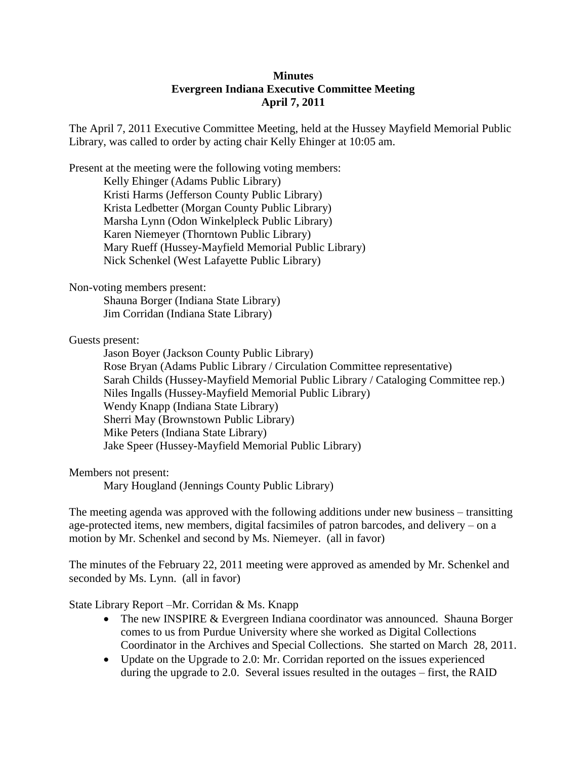## **Minutes Evergreen Indiana Executive Committee Meeting April 7, 2011**

The April 7, 2011 Executive Committee Meeting, held at the Hussey Mayfield Memorial Public Library, was called to order by acting chair Kelly Ehinger at 10:05 am.

Present at the meeting were the following voting members:

Kelly Ehinger (Adams Public Library) Kristi Harms (Jefferson County Public Library) Krista Ledbetter (Morgan County Public Library) Marsha Lynn (Odon Winkelpleck Public Library) Karen Niemeyer (Thorntown Public Library) Mary Rueff (Hussey-Mayfield Memorial Public Library) Nick Schenkel (West Lafayette Public Library)

## Non-voting members present:

Shauna Borger (Indiana State Library) Jim Corridan (Indiana State Library)

## Guests present:

Jason Boyer (Jackson County Public Library) Rose Bryan (Adams Public Library / Circulation Committee representative) Sarah Childs (Hussey-Mayfield Memorial Public Library / Cataloging Committee rep.) Niles Ingalls (Hussey-Mayfield Memorial Public Library) Wendy Knapp (Indiana State Library) Sherri May (Brownstown Public Library) Mike Peters (Indiana State Library) Jake Speer (Hussey-Mayfield Memorial Public Library)

Members not present:

Mary Hougland (Jennings County Public Library)

The meeting agenda was approved with the following additions under new business – transitting age-protected items, new members, digital facsimiles of patron barcodes, and delivery – on a motion by Mr. Schenkel and second by Ms. Niemeyer. (all in favor)

The minutes of the February 22, 2011 meeting were approved as amended by Mr. Schenkel and seconded by Ms. Lynn. (all in favor)

State Library Report –Mr. Corridan & Ms. Knapp

- The new INSPIRE & Evergreen Indiana coordinator was announced. Shauna Borger comes to us from Purdue University where she worked as Digital Collections Coordinator in the Archives and Special Collections. She started on March 28, 2011.
- Update on the Upgrade to 2.0: Mr. Corridan reported on the issues experienced during the upgrade to 2.0. Several issues resulted in the outages – first, the RAID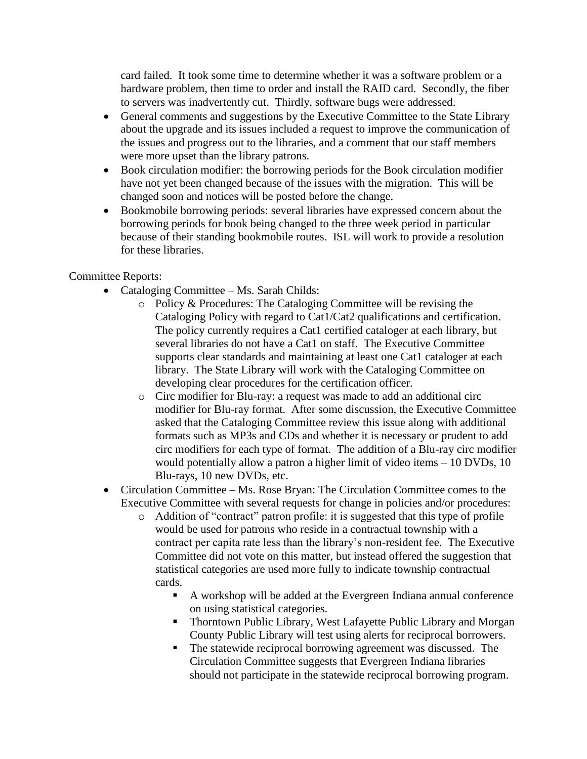card failed. It took some time to determine whether it was a software problem or a hardware problem, then time to order and install the RAID card. Secondly, the fiber to servers was inadvertently cut. Thirdly, software bugs were addressed.

- General comments and suggestions by the Executive Committee to the State Library about the upgrade and its issues included a request to improve the communication of the issues and progress out to the libraries, and a comment that our staff members were more upset than the library patrons.
- Book circulation modifier: the borrowing periods for the Book circulation modifier have not yet been changed because of the issues with the migration. This will be changed soon and notices will be posted before the change.
- Bookmobile borrowing periods: several libraries have expressed concern about the borrowing periods for book being changed to the three week period in particular because of their standing bookmobile routes. ISL will work to provide a resolution for these libraries.

## Committee Reports:

- Cataloging Committee Ms. Sarah Childs:
	- o Policy & Procedures: The Cataloging Committee will be revising the Cataloging Policy with regard to Cat1/Cat2 qualifications and certification. The policy currently requires a Cat1 certified cataloger at each library, but several libraries do not have a Cat1 on staff. The Executive Committee supports clear standards and maintaining at least one Cat1 cataloger at each library. The State Library will work with the Cataloging Committee on developing clear procedures for the certification officer.
	- o Circ modifier for Blu-ray: a request was made to add an additional circ modifier for Blu-ray format. After some discussion, the Executive Committee asked that the Cataloging Committee review this issue along with additional formats such as MP3s and CDs and whether it is necessary or prudent to add circ modifiers for each type of format. The addition of a Blu-ray circ modifier would potentially allow a patron a higher limit of video items – 10 DVDs, 10 Blu-rays, 10 new DVDs, etc.
- Circulation Committee Ms. Rose Bryan: The Circulation Committee comes to the Executive Committee with several requests for change in policies and/or procedures:
	- o Addition of "contract" patron profile: it is suggested that this type of profile would be used for patrons who reside in a contractual township with a contract per capita rate less than the library's non-resident fee. The Executive Committee did not vote on this matter, but instead offered the suggestion that statistical categories are used more fully to indicate township contractual cards.
		- A workshop will be added at the Evergreen Indiana annual conference on using statistical categories.
		- Thorntown Public Library, West Lafayette Public Library and Morgan County Public Library will test using alerts for reciprocal borrowers.
		- The statewide reciprocal borrowing agreement was discussed. The Circulation Committee suggests that Evergreen Indiana libraries should not participate in the statewide reciprocal borrowing program.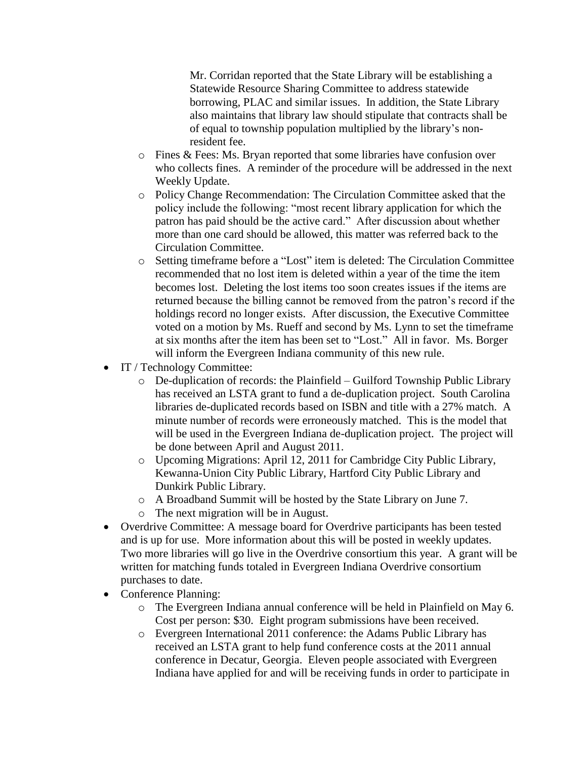Mr. Corridan reported that the State Library will be establishing a Statewide Resource Sharing Committee to address statewide borrowing, PLAC and similar issues. In addition, the State Library also maintains that library law should stipulate that contracts shall be of equal to township population multiplied by the library's nonresident fee.

- o Fines & Fees: Ms. Bryan reported that some libraries have confusion over who collects fines. A reminder of the procedure will be addressed in the next Weekly Update.
- o Policy Change Recommendation: The Circulation Committee asked that the policy include the following: "most recent library application for which the patron has paid should be the active card." After discussion about whether more than one card should be allowed, this matter was referred back to the Circulation Committee.
- o Setting timeframe before a "Lost" item is deleted: The Circulation Committee recommended that no lost item is deleted within a year of the time the item becomes lost. Deleting the lost items too soon creates issues if the items are returned because the billing cannot be removed from the patron's record if the holdings record no longer exists. After discussion, the Executive Committee voted on a motion by Ms. Rueff and second by Ms. Lynn to set the timeframe at six months after the item has been set to "Lost." All in favor. Ms. Borger will inform the Evergreen Indiana community of this new rule.
- IT / Technology Committee:
	- o De-duplication of records: the Plainfield Guilford Township Public Library has received an LSTA grant to fund a de-duplication project. South Carolina libraries de-duplicated records based on ISBN and title with a 27% match. A minute number of records were erroneously matched. This is the model that will be used in the Evergreen Indiana de-duplication project. The project will be done between April and August 2011.
	- o Upcoming Migrations: April 12, 2011 for Cambridge City Public Library, Kewanna-Union City Public Library, Hartford City Public Library and Dunkirk Public Library.
	- o A Broadband Summit will be hosted by the State Library on June 7.
	- o The next migration will be in August.
- Overdrive Committee: A message board for Overdrive participants has been tested and is up for use. More information about this will be posted in weekly updates. Two more libraries will go live in the Overdrive consortium this year. A grant will be written for matching funds totaled in Evergreen Indiana Overdrive consortium purchases to date.
- Conference Planning:
	- o The Evergreen Indiana annual conference will be held in Plainfield on May 6. Cost per person: \$30. Eight program submissions have been received.
	- o Evergreen International 2011 conference: the Adams Public Library has received an LSTA grant to help fund conference costs at the 2011 annual conference in Decatur, Georgia. Eleven people associated with Evergreen Indiana have applied for and will be receiving funds in order to participate in